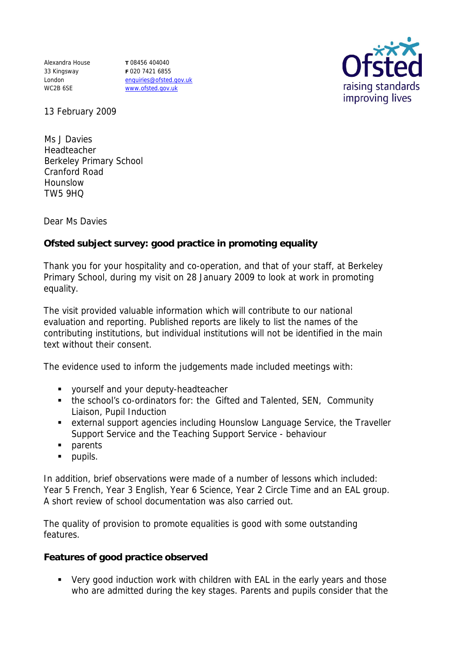Alexandra House 33 Kingsway London WC2B 6SE

**T** 08456 404040 **F** 020 7421 6855 enquiries@ofsted.gov.uk www.ofsted.gov.uk



13 February 2009

Ms J Davies Headteacher Berkeley Primary School Cranford Road Hounslow TW5 9HQ

Dear Ms Davies

**Ofsted subject survey: good practice in promoting equality** 

Thank you for your hospitality and co-operation, and that of your staff, at Berkeley Primary School, during my visit on 28 January 2009 to look at work in promoting equality.

The visit provided valuable information which will contribute to our national evaluation and reporting. Published reports are likely to list the names of the contributing institutions, but individual institutions will not be identified in the main text without their consent.

The evidence used to inform the judgements made included meetings with:

- **vourself and your deputy-headteacher**
- the school's co-ordinators for: the Gifted and Talented, SEN, Community Liaison, Pupil Induction
- external support agencies including Hounslow Language Service, the Traveller Support Service and the Teaching Support Service - behaviour
- **parents**
- **pupils.**

In addition, brief observations were made of a number of lessons which included: Year 5 French, Year 3 English, Year 6 Science, Year 2 Circle Time and an EAL group. A short review of school documentation was also carried out.

The quality of provision to promote equalities is good with some outstanding features.

**Features of good practice observed**

 Very good induction work with children with EAL in the early years and those who are admitted during the key stages. Parents and pupils consider that the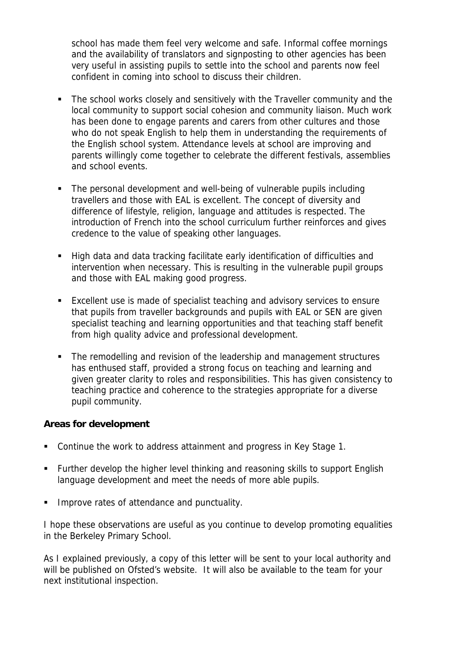school has made them feel very welcome and safe. Informal coffee mornings and the availability of translators and signposting to other agencies has been very useful in assisting pupils to settle into the school and parents now feel confident in coming into school to discuss their children.

- The school works closely and sensitively with the Traveller community and the local community to support social cohesion and community liaison. Much work has been done to engage parents and carers from other cultures and those who do not speak English to help them in understanding the requirements of the English school system. Attendance levels at school are improving and parents willingly come together to celebrate the different festivals, assemblies and school events.
- The personal development and well-being of vulnerable pupils including travellers and those with EAL is excellent. The concept of diversity and difference of lifestyle, religion, language and attitudes is respected. The introduction of French into the school curriculum further reinforces and gives credence to the value of speaking other languages.
- High data and data tracking facilitate early identification of difficulties and intervention when necessary. This is resulting in the vulnerable pupil groups and those with EAL making good progress.
- Excellent use is made of specialist teaching and advisory services to ensure that pupils from traveller backgrounds and pupils with EAL or SEN are given specialist teaching and learning opportunities and that teaching staff benefit from high quality advice and professional development.
- The remodelling and revision of the leadership and management structures has enthused staff, provided a strong focus on teaching and learning and given greater clarity to roles and responsibilities. This has given consistency to teaching practice and coherence to the strategies appropriate for a diverse pupil community.

**Areas for development**

- Continue the work to address attainment and progress in Key Stage 1.
- Further develop the higher level thinking and reasoning skills to support English language development and meet the needs of more able pupils.
- Improve rates of attendance and punctuality.

I hope these observations are useful as you continue to develop promoting equalities in the Berkeley Primary School.

As I explained previously, a copy of this letter will be sent to your local authority and will be published on Ofsted's website. It will also be available to the team for your next institutional inspection.